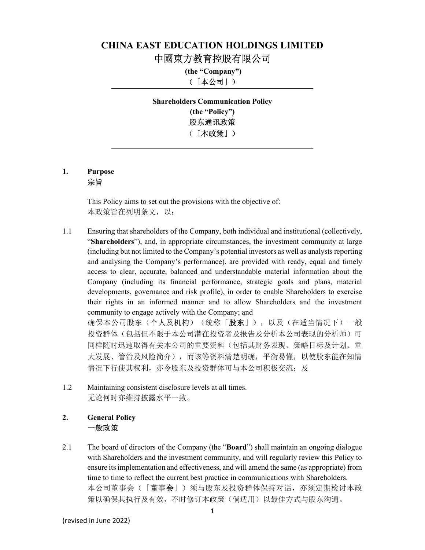# CHINA EAST EDUCATION HOLDINGS LIMITED 中國東方教育控股有限公司

 (the "Company") (「本公司」)

Shareholders Communication Policy (the "Policy") 股东通讯政策 (「本政策」)

#### 1. Purpose 宗旨

This Policy aims to set out the provisions with the objective of: 本政策旨在列明条文,以:

- 1.1 Ensuring that shareholders of the Company, both individual and institutional (collectively, "Shareholders"), and, in appropriate circumstances, the investment community at large (including but not limited to the Company's potential investors as well as analysts reporting and analysing the Company's performance), are provided with ready, equal and timely access to clear, accurate, balanced and understandable material information about the Company (including its financial performance, strategic goals and plans, material developments, governance and risk profile), in order to enable Shareholders to exercise their rights in an informed manner and to allow Shareholders and the investment community to engage actively with the Company; and 确保本公司股东(个人及机构)(统称「**股东**」),以及(在适当情况下)一般 投资群体(包括但不限于本公司潜在投资者及报告及分析本公司表现的分析师)可 同样随时迅速取得有关本公司的重要资料(包括其财务表现、策略目标及计划、重 大发展、管治及风险简介),而该等资料清楚明确,平衡易懂,以使股东能在知情 情况下行使其权利,亦令股东及投资群体可与本公司积极交流;及
- 1.2 Maintaining consistent disclosure levels at all times. 无论何时亦维持披露水平一致。

# 2. General Policy 一般政策

2.1 The board of directors of the Company (the "**Board**") shall maintain an ongoing dialogue with Shareholders and the investment community, and will regularly review this Policy to ensure its implementation and effectiveness, and will amend the same (as appropriate) from time to time to reflect the current best practice in communications with Shareholders. 本公司董事会(「董事会」)须与股东及投资群体保持对话,亦须定期检讨本政 策以确保其执行及有效,不时修订本政策(倘适用)以最佳方式与股东沟通。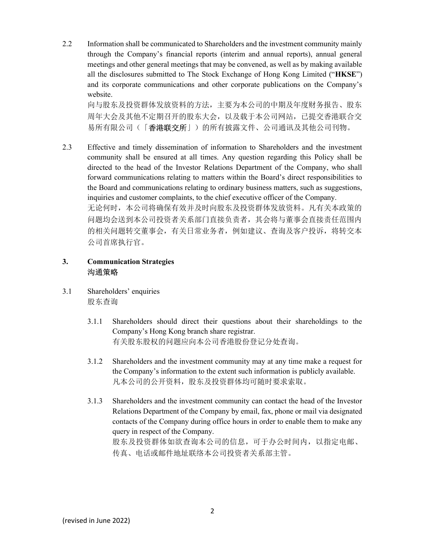2.2 Information shall be communicated to Shareholders and the investment community mainly through the Company's financial reports (interim and annual reports), annual general meetings and other general meetings that may be convened, as well as by making available all the disclosures submitted to The Stock Exchange of Hong Kong Limited ("HKSE") and its corporate communications and other corporate publications on the Company's website.

向与股东及投资群体发放资料的方法,主要为本公司的中期及年度财务报告、股东 周年大会及其他不定期召开的股东大会,以及载于本公司网站,已提交香港联合交 易所有限公司(「香港联交所」)的所有披露文件、公司通讯及其他公司刊物。

2.3 Effective and timely dissemination of information to Shareholders and the investment community shall be ensured at all times. Any question regarding this Policy shall be directed to the head of the Investor Relations Department of the Company, who shall forward communications relating to matters within the Board's direct responsibilities to the Board and communications relating to ordinary business matters, such as suggestions, inquiries and customer complaints, to the chief executive officer of the Company. 无论何时,本公司将确保有效并及时向股东及投资群体发放资料。凡有关本政策的 问题均会送到本公司投资者关系部门直接负责者,其会将与董事会直接责任范围内 的相关问题转交董事会,有关日常业务者,例如建议、查询及客户投诉,将转交本 公司首席执行官。

### 3. Communication Strategies 沟通策略

- 3.1 Shareholders' enquiries 股东查询
	- 3.1.1 Shareholders should direct their questions about their shareholdings to the Company's Hong Kong branch share registrar. 有关股东股权的问题应向本公司香港股份登记分处查询。
	- 3.1.2 Shareholders and the investment community may at any time make a request for the Company's information to the extent such information is publicly available. 凡本公司的公开资料,股东及投资群体均可随时要求索取。
	- 3.1.3 Shareholders and the investment community can contact the head of the Investor Relations Department of the Company by email, fax, phone or mail via designated contacts of the Company during office hours in order to enable them to make any query in respect of the Company. 股东及投资群体如欲查询本公司的信息,可于办公时间内,以指定电邮、 传真、电话或邮件地址联络本公司投资者关系部主管。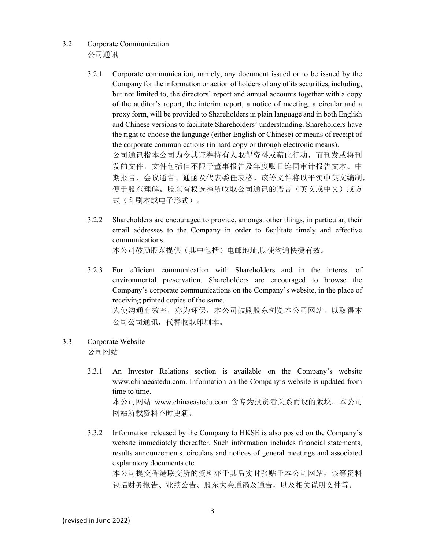- 3.2 Corporate Communication 公司通讯
	- 3.2.1 Corporate communication, namely, any document issued or to be issued by the Company for the information or action of holders of any of its securities, including, but not limited to, the directors' report and annual accounts together with a copy of the auditor's report, the interim report, a notice of meeting, a circular and a proxy form, will be provided to Shareholders in plain language and in both English and Chinese versions to facilitate Shareholders' understanding. Shareholders have the right to choose the language (either English or Chinese) or means of receipt of the corporate communications (in hard copy or through electronic means). 公司通讯指本公司为令其证券持有人取得资料或藉此行动,而刊发或将刊 发的文件,文件包括但不限于董事报告及年度账目连同审计报告文本、中 期报告、会议通告、通函及代表委任表格。该等文件将以平实中英文编制, 便于股东理解。股东有权选择所收取公司通讯的语言(英文或中文)或方 式(印刷本或电子形式)。
	- 3.2.2 Shareholders are encouraged to provide, amongst other things, in particular, their email addresses to the Company in order to facilitate timely and effective communications.

本公司鼓励股东提供(其中包括)电邮地址,以使沟通快捷有效。

- 3.2.3 For efficient communication with Shareholders and in the interest of environmental preservation, Shareholders are encouraged to browse the Company's corporate communications on the Company's website, in the place of receiving printed copies of the same. 为使沟通有效率,亦为环保,本公司鼓励股东浏览本公司网站,以取得本 公司公司通讯,代替收取印刷本。
- 3.3 Corporate Website 公司网站
	- 3.3.1 An Investor Relations section is available on the Company's website www.chinaeastedu.com. Information on the Company's website is updated from time to time. 本公司网站 www.chinaeastedu.com 含专为投资者关系而设的版块。本公司 网站所载资料不时更新。
	- 3.3.2 Information released by the Company to HKSE is also posted on the Company's website immediately thereafter. Such information includes financial statements, results announcements, circulars and notices of general meetings and associated explanatory documents etc. 本公司提交香港联交所的资料亦于其后实时张贴于本公司网站,该等资料

包括财务报告、业绩公告、股东大会通函及通告,以及相关说明文件等。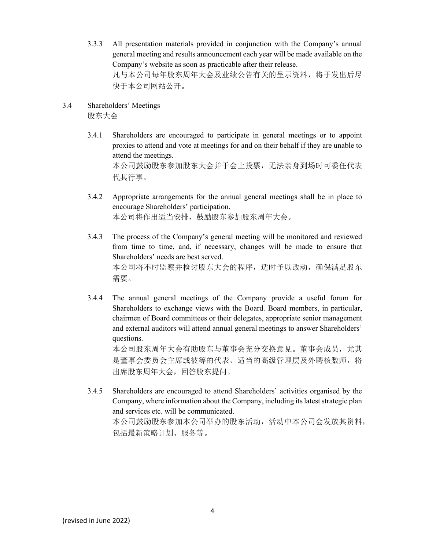3.3.3 All presentation materials provided in conjunction with the Company's annual general meeting and results announcement each year will be made available on the Company's website as soon as practicable after their release. 凡与本公司每年股东周年大会及业绩公告有关的呈示资料,将于发出后尽 快于本公司网站公开。

# 3.4 Shareholders' Meetings 股东大会

- 3.4.1 Shareholders are encouraged to participate in general meetings or to appoint proxies to attend and vote at meetings for and on their behalf if they are unable to attend the meetings. 本公司鼓励股东参加股东大会并于会上投票,无法亲身到场时可委任代表 代其行事。
- 3.4.2 Appropriate arrangements for the annual general meetings shall be in place to encourage Shareholders' participation. 本公司将作出适当安排,鼓励股东参加股东周年大会。
- 3.4.3 The process of the Company's general meeting will be monitored and reviewed from time to time, and, if necessary, changes will be made to ensure that Shareholders' needs are best served. 本公司将不时监察并检讨股东大会的程序,适时予以改动,确保满足股东 需要。
- 3.4.4 The annual general meetings of the Company provide a useful forum for Shareholders to exchange views with the Board. Board members, in particular, chairmen of Board committees or their delegates, appropriate senior management and external auditors will attend annual general meetings to answer Shareholders' questions. 本公司股东周年大会有助股东与董事会充分交换意见。董事会成员,尤其

是董事会委员会主席或彼等的代表、适当的高级管理层及外聘核数师,将 出席股东周年大会,回答股东提问。

3.4.5 Shareholders are encouraged to attend Shareholders' activities organised by the Company, where information about the Company, including its latest strategic plan and services etc. will be communicated. 本公司鼓励股东参加本公司举办的股东活动,活动中本公司会发放其资料, 包括最新策略计划、服务等。